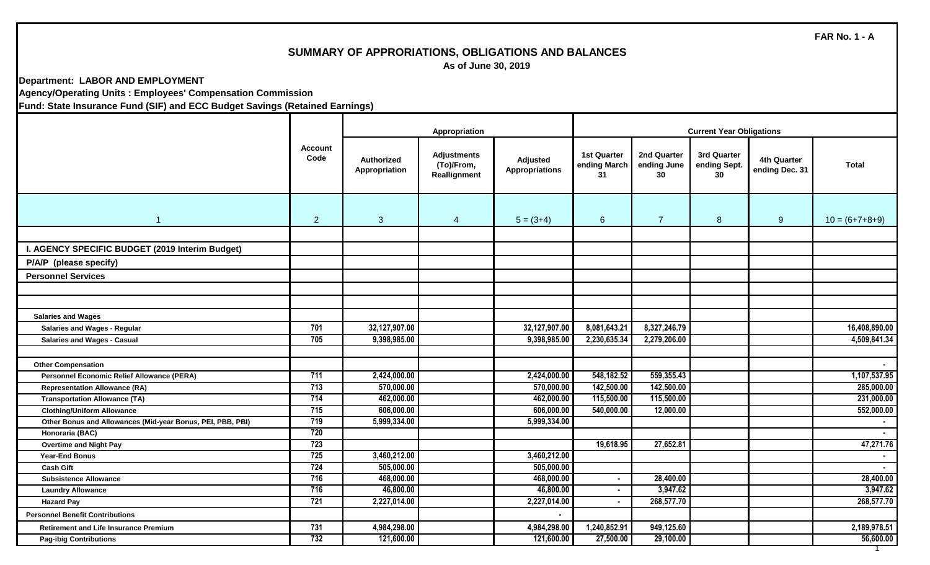### **SUMMARY OF APPRORIATIONS, OBLIGATIONS AND BALANCES**

 **As of June 30, 2019**

**Department: LABOR AND EMPLOYMENT**

**Agency/Operating Units : Employees' Compensation Commission**

|                                                            |                        |                                    | Appropriation                                    |                                   |                                          |                                  | <b>Current Year Obligations</b>   |                                      |                  |
|------------------------------------------------------------|------------------------|------------------------------------|--------------------------------------------------|-----------------------------------|------------------------------------------|----------------------------------|-----------------------------------|--------------------------------------|------------------|
|                                                            | <b>Account</b><br>Code | <b>Authorized</b><br>Appropriation | <b>Adjustments</b><br>(To)/From,<br>Reallignment | Adjusted<br><b>Appropriations</b> | <b>1st Quarter</b><br>ending March<br>31 | 2nd Quarter<br>ending June<br>30 | 3rd Quarter<br>ending Sept.<br>30 | <b>4th Quarter</b><br>ending Dec. 31 | <b>Total</b>     |
| $\overline{1}$                                             | $\overline{2}$         | 3 <sup>1</sup>                     | $\overline{4}$                                   | $5 = (3+4)$                       | 6                                        | $\overline{7}$                   | 8                                 | 9                                    | $10 = (6+7+8+9)$ |
|                                                            |                        |                                    |                                                  |                                   |                                          |                                  |                                   |                                      |                  |
| I. AGENCY SPECIFIC BUDGET (2019 Interim Budget)            |                        |                                    |                                                  |                                   |                                          |                                  |                                   |                                      |                  |
| P/A/P (please specify)                                     |                        |                                    |                                                  |                                   |                                          |                                  |                                   |                                      |                  |
| <b>Personnel Services</b>                                  |                        |                                    |                                                  |                                   |                                          |                                  |                                   |                                      |                  |
|                                                            |                        |                                    |                                                  |                                   |                                          |                                  |                                   |                                      |                  |
|                                                            |                        |                                    |                                                  |                                   |                                          |                                  |                                   |                                      |                  |
| <b>Salaries and Wages</b>                                  |                        |                                    |                                                  |                                   |                                          |                                  |                                   |                                      |                  |
| <b>Salaries and Wages - Regular</b>                        | 701                    | 32,127,907.00                      |                                                  | 32,127,907.00                     | 8,081,643.21                             | 8,327,246.79                     |                                   |                                      | 16,408,890.00    |
| <b>Salaries and Wages - Casual</b>                         | 705                    | 9,398,985.00                       |                                                  | 9,398,985.00                      | 2,230,635.34                             | 2,279,206.00                     |                                   |                                      | 4,509,841.34     |
|                                                            |                        |                                    |                                                  |                                   |                                          |                                  |                                   |                                      |                  |
| <b>Other Compensation</b>                                  |                        |                                    |                                                  |                                   |                                          |                                  |                                   |                                      |                  |
| <b>Personnel Economic Relief Allowance (PERA)</b>          | 711                    | 2,424,000.00                       |                                                  | 2,424,000.00                      | 548,182.52                               | 559,355.43                       |                                   |                                      | 1,107,537.95     |
| <b>Representation Allowance (RA)</b>                       | 713                    | 570,000.00                         |                                                  | 570,000.00                        | 142,500.00                               | 142,500.00                       |                                   |                                      | 285,000.00       |
| <b>Transportation Allowance (TA)</b>                       | 714                    | 462,000.00                         |                                                  | 462,000.00                        | 115,500.00                               | 115,500.00                       |                                   |                                      | 231,000.00       |
| <b>Clothing/Uniform Allowance</b>                          | 715                    | 606,000.00                         |                                                  | 606,000.00                        | 540,000.00                               | 12,000.00                        |                                   |                                      | 552,000.00       |
| Other Bonus and Allowances (Mid-year Bonus, PEI, PBB, PBI) | 719                    | 5,999,334.00                       |                                                  | 5,999,334.00                      |                                          |                                  |                                   |                                      | $\sim$           |
| Honoraria (BAC)                                            | 720                    |                                    |                                                  |                                   |                                          |                                  |                                   |                                      | $\blacksquare$   |
| <b>Overtime and Night Pay</b>                              | 723                    |                                    |                                                  |                                   | 19,618.95                                | 27,652.81                        |                                   |                                      | 47,271.76        |
| <b>Year-End Bonus</b>                                      | 725                    | 3,460,212.00                       |                                                  | 3,460,212.00                      |                                          |                                  |                                   |                                      | $\sim$           |
| <b>Cash Gift</b>                                           | 724                    | 505,000.00                         |                                                  | 505,000.00                        |                                          |                                  |                                   |                                      | $\blacksquare$   |
| <b>Subsistence Allowance</b>                               | 716                    | 468,000.00                         |                                                  | 468,000.00                        | $\blacksquare$                           | 28,400.00                        |                                   |                                      | 28,400.00        |
| <b>Laundry Allowance</b>                                   | 716                    | 46,800.00                          |                                                  | 46,800.00                         | $\blacksquare$                           | 3,947.62                         |                                   |                                      | 3,947.62         |
| <b>Hazard Pay</b>                                          | 721                    | 2,227,014.00                       |                                                  | 2,227,014.00                      |                                          | 268,577.70                       |                                   |                                      | 268,577.70       |
| <b>Personnel Benefit Contributions</b>                     |                        |                                    |                                                  | $\blacksquare$                    |                                          |                                  |                                   |                                      |                  |
| <b>Retirement and Life Insurance Premium</b>               | 731                    | 4,984,298.00                       |                                                  | 4,984,298.00                      | 1,240,852.91                             | 949,125.60                       |                                   |                                      | 2,189,978.51     |
| <b>Pag-ibig Contributions</b>                              | 732                    | 121,600.00                         |                                                  | 121,600.00                        | 27,500.00                                | 29,100.00                        |                                   |                                      | 56,600.00        |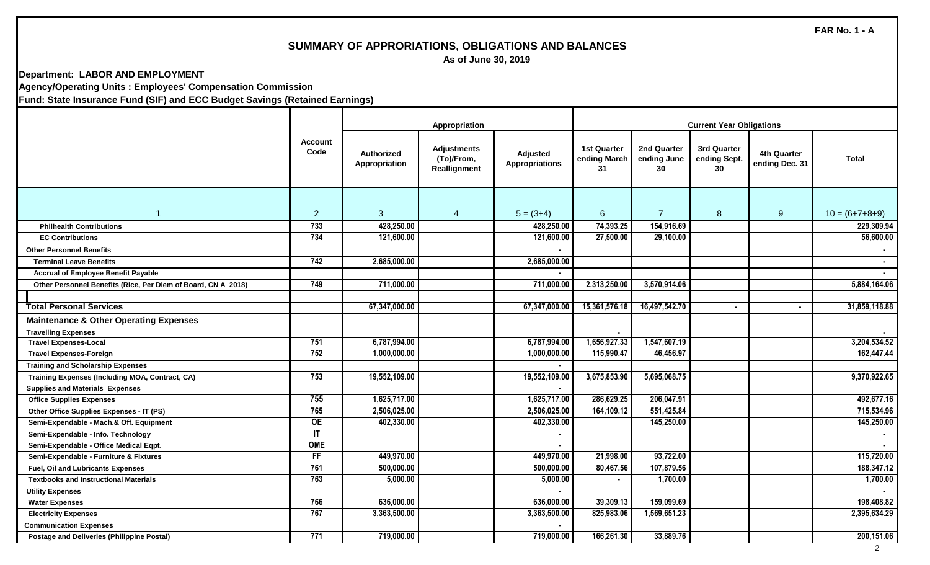## **SUMMARY OF APPRORIATIONS, OBLIGATIONS AND BALANCES**

 **As of June 30, 2019**

**Department: LABOR AND EMPLOYMENT Agency/Operating Units : Employees' Compensation Commission**

|                                                               |                        |                             | Appropriation                                    |                                   |                                          |                                  |                                   |                               |                  |
|---------------------------------------------------------------|------------------------|-----------------------------|--------------------------------------------------|-----------------------------------|------------------------------------------|----------------------------------|-----------------------------------|-------------------------------|------------------|
|                                                               | <b>Account</b><br>Code | Authorized<br>Appropriation | <b>Adjustments</b><br>(To)/From,<br>Reallignment | Adjusted<br><b>Appropriations</b> | <b>1st Quarter</b><br>ending March<br>31 | 2nd Quarter<br>ending June<br>30 | 3rd Quarter<br>ending Sept.<br>30 | 4th Quarter<br>ending Dec. 31 | <b>Total</b>     |
| $\blacktriangleleft$                                          | $\overline{2}$         | $\mathbf{3}$                | $\overline{4}$                                   | $5 = (3+4)$                       | 6                                        | $\overline{7}$                   | 8                                 | 9                             | $10 = (6+7+8+9)$ |
| <b>Philhealth Contributions</b>                               | 733                    | 428,250.00                  |                                                  | 428,250.00                        | 74,393.25                                | 154,916.69                       |                                   |                               | 229,309.94       |
| <b>EC Contributions</b>                                       | 734                    | 121,600.00                  |                                                  | 121,600.00                        | 27,500.00                                | 29,100.00                        |                                   |                               | 56,600.00        |
| <b>Other Personnel Benefits</b>                               |                        |                             |                                                  |                                   |                                          |                                  |                                   |                               |                  |
| <b>Terminal Leave Benefits</b>                                | 742                    | 2,685,000.00                |                                                  | 2,685,000.00                      |                                          |                                  |                                   |                               |                  |
| <b>Accrual of Employee Benefit Payable</b>                    |                        |                             |                                                  |                                   |                                          |                                  |                                   |                               |                  |
| Other Personnel Benefits (Rice, Per Diem of Board, CN A 2018) | 749                    | 711,000.00                  |                                                  | 711,000.00                        | 2,313,250.00                             | 3,570,914.06                     |                                   |                               | 5,884,164.06     |
|                                                               |                        |                             |                                                  |                                   |                                          |                                  |                                   |                               |                  |
| <b>Total Personal Services</b>                                |                        | 67,347,000.00               |                                                  | 67,347,000.00                     | 15,361,576.18                            | 16,497,542.70                    | $\blacksquare$                    | $\blacksquare$                | 31,859,118.88    |
| <b>Maintenance &amp; Other Operating Expenses</b>             |                        |                             |                                                  |                                   |                                          |                                  |                                   |                               |                  |
| <b>Travelling Expenses</b>                                    |                        |                             |                                                  |                                   |                                          |                                  |                                   |                               |                  |
| <b>Travel Expenses-Local</b>                                  | 751                    | 6,787,994.00                |                                                  | 6,787,994.00                      | 1,656,927.33                             | 1,547,607.19                     |                                   |                               | 3,204,534.52     |
| <b>Travel Expenses-Foreign</b>                                | 752                    | 1,000,000.00                |                                                  | 1,000,000.00                      | 115,990.47                               | 46,456.97                        |                                   |                               | 162,447.44       |
| <b>Training and Scholarship Expenses</b>                      |                        |                             |                                                  |                                   |                                          |                                  |                                   |                               |                  |
| <b>Training Expenses (Including MOA, Contract, CA)</b>        | 753                    | 19,552,109.00               |                                                  | 19,552,109.00                     | 3,675,853.90                             | 5,695,068.75                     |                                   |                               | 9,370,922.65     |
| <b>Supplies and Materials Expenses</b>                        |                        |                             |                                                  |                                   |                                          |                                  |                                   |                               |                  |
| <b>Office Supplies Expenses</b>                               | 755                    | 1,625,717.00                |                                                  | 1,625,717.00                      | 286,629.25                               | 206,047.91                       |                                   |                               | 492,677.16       |
| Other Office Supplies Expenses - IT (PS)                      | 765                    | 2,506,025.00                |                                                  | 2,506,025.00                      | 164,109.12                               | 551,425.84                       |                                   |                               | 715,534.96       |
| Semi-Expendable - Mach.& Off. Equipment                       | OE                     | 402,330.00                  |                                                  | 402,330.00                        |                                          | 145,250.00                       |                                   |                               | 145,250.00       |
| Semi-Expendable - Info. Technology                            | $\mathsf{I}$           |                             |                                                  |                                   |                                          |                                  |                                   |                               |                  |
| Semi-Expendable - Office Medical Eqpt.                        | <b>OME</b>             |                             |                                                  |                                   |                                          |                                  |                                   |                               |                  |
| Semi-Expendable - Furniture & Fixtures                        | FF                     | 449,970.00                  |                                                  | 449,970.00                        | 21,998.00                                | 93,722.00                        |                                   |                               | 115,720.00       |
| Fuel, Oil and Lubricants Expenses                             | 761                    | 500,000.00                  |                                                  | 500,000.00                        | 80,467.56                                | 107,879.56                       |                                   |                               | 188,347.12       |
| <b>Textbooks and Instructional Materials</b>                  | 763                    | 5,000.00                    |                                                  | 5,000.00                          |                                          | 1,700.00                         |                                   |                               | 1,700.00         |
| <b>Utility Expenses</b>                                       |                        |                             |                                                  |                                   |                                          |                                  |                                   |                               |                  |
| <b>Water Expenses</b>                                         | 766                    | 636,000.00                  |                                                  | 636,000.00                        | 39,309.13                                | 159,099.69                       |                                   |                               | 198,408.82       |
| <b>Electricity Expenses</b>                                   | 767                    | 3,363,500.00                |                                                  | 3,363,500.00                      | 825,983.06                               | 1,569,651.23                     |                                   |                               | 2,395,634.29     |
| <b>Communication Expenses</b>                                 |                        |                             |                                                  |                                   |                                          |                                  |                                   |                               |                  |
| <b>Postage and Deliveries (Philippine Postal)</b>             | 771                    | 719,000.00                  |                                                  | 719,000.00                        | 166,261.30                               | 33,889.76                        |                                   |                               | 200,151.06       |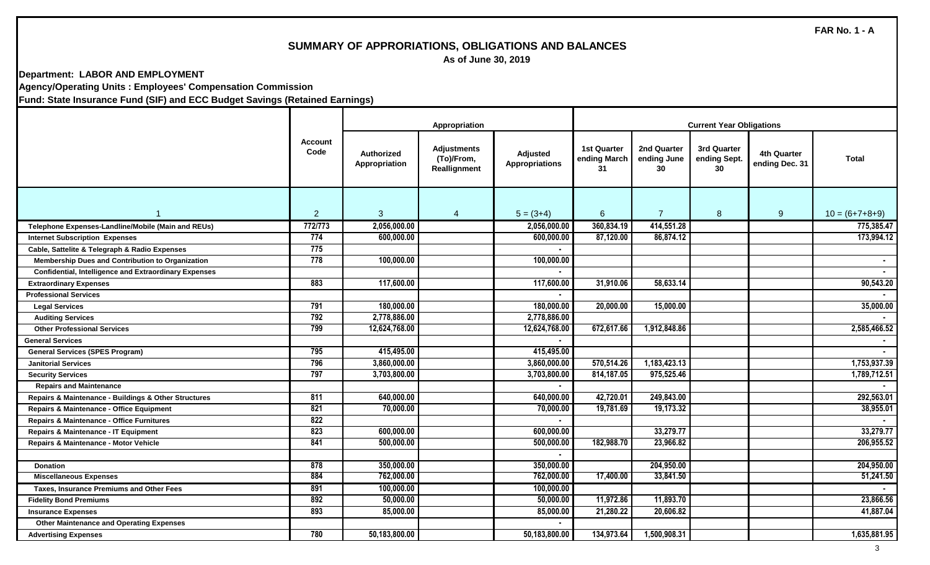# **SUMMARY OF APPRORIATIONS, OBLIGATIONS AND BALANCES**

 **As of June 30, 2019**

#### **Department: LABOR AND EMPLOYMENT Agency/Operating Units : Employees' Compensation Commission**

|                                                              |                        |                                    | Appropriation                                    |                                   | <b>Current Year Obligations</b>          |                                         |                                   |                               |                  |  |
|--------------------------------------------------------------|------------------------|------------------------------------|--------------------------------------------------|-----------------------------------|------------------------------------------|-----------------------------------------|-----------------------------------|-------------------------------|------------------|--|
|                                                              | <b>Account</b><br>Code | <b>Authorized</b><br>Appropriation | <b>Adjustments</b><br>(To)/From,<br>Reallignment | Adjusted<br><b>Appropriations</b> | <b>1st Quarter</b><br>ending March<br>31 | <b>2nd Quarter</b><br>ending June<br>30 | 3rd Quarter<br>ending Sept.<br>30 | 4th Quarter<br>ending Dec. 31 | Total            |  |
|                                                              | $\overline{2}$         | $\mathbf{3}$                       | $\overline{4}$                                   | $5 = (3+4)$                       | 6                                        | $\overline{7}$                          | 8                                 | 9                             | $10 = (6+7+8+9)$ |  |
| Telephone Expenses-Landline/Mobile (Main and REUs)           | 772/773                | 2,056,000.00                       |                                                  | 2,056,000.00                      | 360,834.19                               | 414,551.28                              |                                   |                               | 775,385.47       |  |
| <b>Internet Subscription Expenses</b>                        | 774                    | 600,000.00                         |                                                  | 600,000.00                        | 87,120.00                                | 86,874.12                               |                                   |                               | 173,994.12       |  |
| Cable, Sattelite & Telegraph & Radio Expenses                | 775                    |                                    |                                                  |                                   |                                          |                                         |                                   |                               |                  |  |
| Membership Dues and Contribution to Organization             | 778                    | 100,000.00                         |                                                  | 100,000.00                        |                                          |                                         |                                   |                               |                  |  |
| <b>Confidential, Intelligence and Extraordinary Expenses</b> |                        |                                    |                                                  |                                   |                                          |                                         |                                   |                               |                  |  |
| <b>Extraordinary Expenses</b>                                | 883                    | 117,600.00                         |                                                  | 117,600.00                        | 31,910.06                                | 58,633.14                               |                                   |                               | 90,543.20        |  |
| <b>Professional Services</b>                                 |                        |                                    |                                                  |                                   |                                          |                                         |                                   |                               |                  |  |
| <b>Legal Services</b>                                        | 791                    | 180,000.00                         |                                                  | 180,000.00                        | 20,000.00                                | 15,000.00                               |                                   |                               | 35,000.00        |  |
| <b>Auditing Services</b>                                     | 792                    | 2,778,886.00                       |                                                  | 2,778,886.00                      |                                          |                                         |                                   |                               |                  |  |
| <b>Other Professional Services</b>                           | 799                    | 12,624,768.00                      |                                                  | 12,624,768.00                     | 672,617.66                               | 1,912,848.86                            |                                   |                               | 2,585,466.52     |  |
| <b>General Services</b>                                      |                        |                                    |                                                  |                                   |                                          |                                         |                                   |                               |                  |  |
| <b>General Services (SPES Program)</b>                       | 795                    | 415,495.00                         |                                                  | 415,495.00                        |                                          |                                         |                                   |                               |                  |  |
| <b>Janitorial Services</b>                                   | 796                    | 3,860,000.00                       |                                                  | 3,860,000.00                      | 570,514.26                               | 1,183,423.13                            |                                   |                               | 1,753,937.39     |  |
| <b>Security Services</b>                                     | 797                    | 3,703,800.00                       |                                                  | 3,703,800.00                      | 814,187.05                               | 975,525.46                              |                                   |                               | 1,789,712.51     |  |
| <b>Repairs and Maintenance</b>                               |                        |                                    |                                                  |                                   |                                          |                                         |                                   |                               |                  |  |
| Repairs & Maintenance - Buildings & Other Structures         | 811                    | 640,000.00                         |                                                  | 640,000.00                        | 42,720.01                                | 249,843.00                              |                                   |                               | 292,563.01       |  |
| Repairs & Maintenance - Office Equipment                     | 821                    | 70,000.00                          |                                                  | 70,000.00                         | 19,781.69                                | 19,173.32                               |                                   |                               | 38,955.01        |  |
| Repairs & Maintenance - Office Furnitures                    | 822                    |                                    |                                                  |                                   |                                          |                                         |                                   |                               |                  |  |
| Repairs & Maintenance - IT Equipment                         | 823                    | 600,000.00                         |                                                  | 600,000.00                        |                                          | 33,279.77                               |                                   |                               | 33,279.77        |  |
| Repairs & Maintenance - Motor Vehicle                        | 841                    | 500,000.00                         |                                                  | 500,000.00                        | 182,988.70                               | 23,966.82                               |                                   |                               | 206,955.52       |  |
|                                                              |                        |                                    |                                                  | $\blacksquare$                    |                                          |                                         |                                   |                               |                  |  |
| <b>Donation</b>                                              | 878                    | 350,000.00                         |                                                  | 350,000.00                        |                                          | 204,950.00                              |                                   |                               | 204,950.00       |  |
| <b>Miscellaneous Expenses</b>                                | 884                    | 762,000.00                         |                                                  | 762,000.00                        | 17,400.00                                | 33,841.50                               |                                   |                               | 51,241.50        |  |
| <b>Taxes, Insurance Premiums and Other Fees</b>              | 891                    | 100,000.00                         |                                                  | 100,000.00                        |                                          |                                         |                                   |                               |                  |  |
| <b>Fidelity Bond Premiums</b>                                | 892                    | 50,000.00                          |                                                  | 50,000.00                         | 11,972.86                                | 11,893.70                               |                                   |                               | 23,866.56        |  |
| <b>Insurance Expenses</b>                                    | 893                    | 85,000.00                          |                                                  | 85,000.00                         | 21,280.22                                | 20,606.82                               |                                   |                               | 41,887.04        |  |
| <b>Other Maintenance and Operating Expenses</b>              |                        |                                    |                                                  |                                   |                                          |                                         |                                   |                               |                  |  |
| <b>Advertising Expenses</b>                                  | 780                    | 50,183,800.00                      |                                                  | 50,183,800.00                     | 134,973.64                               | 1,500,908.31                            |                                   |                               | 1,635,881.95     |  |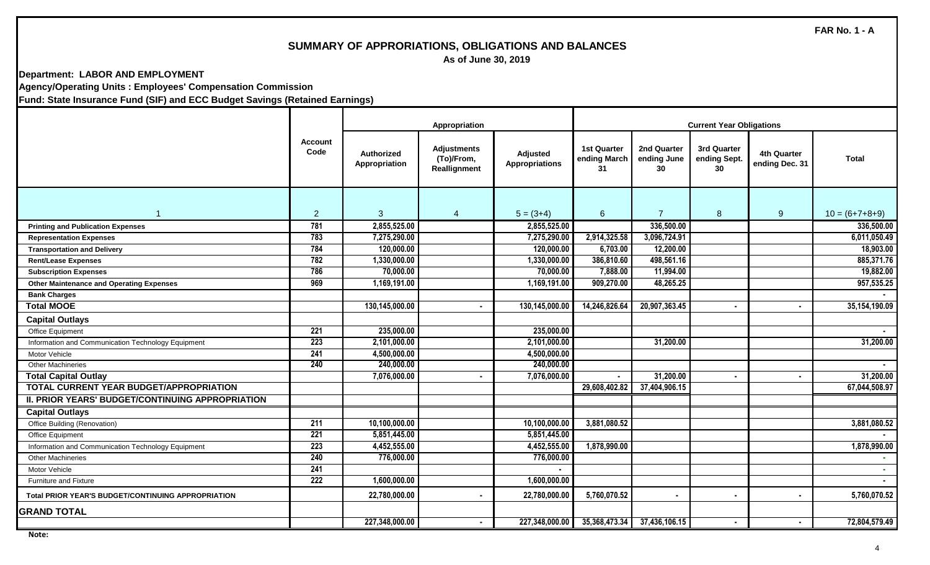# **SUMMARY OF APPRORIATIONS, OBLIGATIONS AND BALANCES**

 **As of June 30, 2019**

**Department: LABOR AND EMPLOYMENT Agency/Operating Units : Employees' Compensation Commission**

|                                                    |                        |                             | Appropriation                                    |                                   |                                          |                                  |                                   |                               |                  |
|----------------------------------------------------|------------------------|-----------------------------|--------------------------------------------------|-----------------------------------|------------------------------------------|----------------------------------|-----------------------------------|-------------------------------|------------------|
|                                                    | <b>Account</b><br>Code | Authorized<br>Appropriation | <b>Adjustments</b><br>(To)/From,<br>Reallignment | Adjusted<br><b>Appropriations</b> | <b>1st Quarter</b><br>ending March<br>31 | 2nd Quarter<br>ending June<br>30 | 3rd Quarter<br>ending Sept.<br>30 | 4th Quarter<br>ending Dec. 31 | Total            |
| $\blacktriangleleft$                               | $\overline{2}$         | 3                           | $\overline{4}$                                   | $5 = (3+4)$                       | 6                                        | $\overline{7}$                   | $\boldsymbol{8}$                  | 9                             | $10 = (6+7+8+9)$ |
| <b>Printing and Publication Expenses</b>           | 781                    | 2,855,525.00                |                                                  | 2,855,525.00                      |                                          | 336,500.00                       |                                   |                               | 336,500.00       |
| <b>Representation Expenses</b>                     | 783                    | 7,275,290.00                |                                                  | 7,275,290.00                      | 2,914,325.58                             | 3,096,724.91                     |                                   |                               | 6,011,050.49     |
| <b>Transportation and Delivery</b>                 | 784                    | 120,000.00                  |                                                  | 120,000.00                        | 6,703.00                                 | 12,200.00                        |                                   |                               | 18,903.00        |
| <b>Rent/Lease Expenses</b>                         | 782                    | 1,330,000.00                |                                                  | 1,330,000.00                      | 386,810.60                               | 498,561.16                       |                                   |                               | 885,371.76       |
| <b>Subscription Expenses</b>                       | 786                    | 70,000.00                   |                                                  | 70,000.00                         | 7,888.00                                 | 11,994.00                        |                                   |                               | 19,882.00        |
| <b>Other Maintenance and Operating Expenses</b>    | 969                    | 1,169,191.00                |                                                  | 1,169,191.00                      | 909,270.00                               | 48,265.25                        |                                   |                               | 957,535.25       |
| <b>Bank Charges</b>                                |                        |                             |                                                  |                                   |                                          |                                  |                                   |                               |                  |
| <b>Total MOOE</b>                                  |                        | 130,145,000.00              |                                                  | 130,145,000.00                    | 14,246,826.64                            | 20,907,363.45                    |                                   |                               | 35,154,190.09    |
| <b>Capital Outlays</b>                             |                        |                             |                                                  |                                   |                                          |                                  |                                   |                               |                  |
| Office Equipment                                   | 221                    | 235,000.00                  |                                                  | 235,000.00                        |                                          |                                  |                                   |                               | $\blacksquare$   |
| Information and Communication Technology Equipment | 223                    | 2,101,000.00                |                                                  | 2,101,000.00                      |                                          | 31,200.00                        |                                   |                               | 31,200.00        |
| Motor Vehicle                                      | 241                    | 4,500,000.00                |                                                  | 4,500,000.00                      |                                          |                                  |                                   |                               |                  |
| <b>Other Machineries</b>                           | 240                    | 240,000.00                  |                                                  | 240,000.00                        |                                          |                                  |                                   |                               |                  |
| <b>Total Capital Outlay</b>                        |                        | 7,076,000.00                | $\blacksquare$                                   | 7,076,000.00                      |                                          | 31,200.00                        |                                   |                               | 31,200.00        |
| <b>TOTAL CURRENT YEAR BUDGET/APPROPRIATION</b>     |                        |                             |                                                  |                                   | 29,608,402.82                            | 37,404,906.15                    |                                   |                               | 67,044,508.97    |
| II. PRIOR YEARS' BUDGET/CONTINUING APPROPRIATION   |                        |                             |                                                  |                                   |                                          |                                  |                                   |                               |                  |
| <b>Capital Outlays</b>                             |                        |                             |                                                  |                                   |                                          |                                  |                                   |                               |                  |
| Office Building (Renovation)                       | 211                    | 10,100,000.00               |                                                  | 10,100,000.00                     | 3,881,080.52                             |                                  |                                   |                               | 3,881,080.52     |
| Office Equipment                                   | $\overline{221}$       | 5,851,445.00                |                                                  | 5,851,445.00                      |                                          |                                  |                                   |                               |                  |
| Information and Communication Technology Equipment | 223                    | 4,452,555.00                |                                                  | 4,452,555.00                      | 1,878,990.00                             |                                  |                                   |                               | 1,878,990.00     |
| <b>Other Machineries</b>                           | 240                    | 776,000.00                  |                                                  | 776,000.00                        |                                          |                                  |                                   |                               | $\sim$           |
| Motor Vehicle                                      | 241                    |                             |                                                  |                                   |                                          |                                  |                                   |                               |                  |
| <b>Furniture and Fixture</b>                       | $\overline{222}$       | 1,600,000.00                |                                                  | 1,600,000.00                      |                                          |                                  |                                   |                               |                  |
| Total PRIOR YEAR'S BUDGET/CONTINUING APPROPRIATION |                        | 22,780,000.00               | $\blacksquare$                                   | 22,780,000.00                     | 5,760,070.52                             |                                  |                                   | $\blacksquare$                | 5,760,070.52     |
| <b>GRAND TOTAL</b>                                 |                        |                             |                                                  |                                   |                                          |                                  |                                   |                               |                  |
|                                                    |                        | 227,348,000.00              | $\blacksquare$                                   | 227,348,000.00                    |                                          | 35,368,473.34 37,436,106.15      |                                   | $\blacksquare$                | 72,804,579.49    |